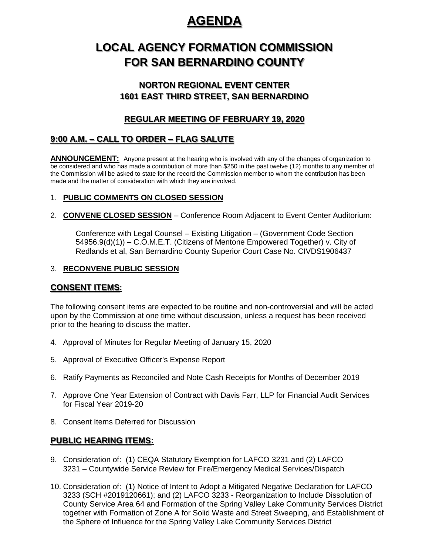# **AGENDA** AGENDA

# **LOCAL AGENCY FORMATION COMMISSION FOR SAN BERNARDINO COUNTY**

## **NORTON REGIONAL EVENT CENTER** NORTON REGIONAL EVENT CENTER **1601 EAST THIRD STREET, SAN BERNARDINO** 1601 EAST THIRD STREET, SAN BERNARDINO

## **REGULAR MEETING OF FEBRUARY 19, 2020**

# <u>8:00 A.M. – CALL TO ORDER – FLAG SALUTE</u>

**ANNOUNCEMENT:** Anyone present at the hearing who is involved with any of the changes of organization to be considered and who has made a contribution of more than \$250 in the past twelve (12) months to any member of the Commission will be asked to state for the record the Commission member to whom the contribution has been made and the matter of consideration with which they are involved.

## 1. **PUBLIC COMMENTS ON CLOSED SESSION**

2. **CONVENE CLOSED SESSION** – Conference Room Adjacent to Event Center Auditorium:

Conference with Legal Counsel – Existing Litigation – (Government Code Section 54956.9(d)(1)) – C.O.M.E.T. (Citizens of Mentone Empowered Together) v. City of Redlands et al, San Bernardino County Superior Court Case No. CIVDS1906437

### 3. **RECONVENE PUBLIC SESSION**

## **CONSENT ITEMS:**

The following consent items are expected to be routine and non-controversial and will be acted upon by the Commission at one time without discussion, unless a request has been received prior to the hearing to discuss the matter.

- 4. Approval of Minutes for Regular Meeting of January 15, 2020
- 5. Approval of Executive Officer's Expense Report
- 6. Ratify Payments as Reconciled and Note Cash Receipts for Months of December 2019
- 7. Approve One Year Extension of Contract with Davis Farr, LLP for Financial Audit Services for Fiscal Year 2019-20
- 8. Consent Items Deferred for Discussion

### **PUBLIC HEARING ITEMS:** PUBLIC HEARING ITEMS

- 9. Consideration of: (1) CEQA Statutory Exemption for LAFCO 3231 and (2) LAFCO 3231 – Countywide Service Review for Fire/Emergency Medical Services/Dispatch
- 10. Consideration of: (1) Notice of Intent to Adopt a Mitigated Negative Declaration for LAFCO 3233 (SCH #2019120661); and (2) LAFCO 3233 - Reorganization to Include Dissolution of County Service Area 64 and Formation of the Spring Valley Lake Community Services District together with Formation of Zone A for Solid Waste and Street Sweeping, and Establishment of the Sphere of Influence for the Spring Valley Lake Community Services District